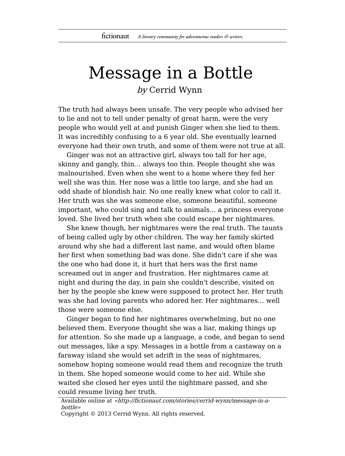## Message in a Bottle by Cerrid Wynn

The truth had always been unsafe. The very people who advised her to lie and not to tell under penalty of great harm, were the very people who would yell at and punish Ginger when she lied to them. It was incredibly confusing to a 6 year old. She eventually learned everyone had their own truth, and some of them were not true at all.

Ginger was not an attractive girl, always too tall for her age, skinny and gangly, thin… always too thin. People thought she was malnourished. Even when she went to a home where they fed her well she was thin. Her nose was a little too large, and she had an odd shade of blondish hair. No one really knew what color to call it. Her truth was she was someone else, someone beautiful, someone important, who could sing and talk to animals… a princess everyone loved. She lived her truth when she could escape her nightmares.

She knew though, her nightmares were the real truth. The taunts of being called ugly by other children. The way her family skirted around why she had a different last name, and would often blame her first when something bad was done. She didn't care if she was the one who had done it, it hurt that hers was the first name screamed out in anger and frustration. Her nightmares came at night and during the day, in pain she couldn't describe, visited on her by the people she knew were supposed to protect her. Her truth was she had loving parents who adored her. Her nightmares… well those were someone else.

Ginger began to find her nightmares overwhelming, but no one believed them. Everyone thought she was a liar, making things up for attention. So she made up a language, a code, and began to send out messages, like a spy. Messages in a bottle from a castaway on a faraway island she would set adrift in the seas of nightmares, somehow hoping someone would read them and recognize the truth in them. She hoped someone would come to her aid. While she waited she closed her eyes until the nightmare passed, and she could resume living her truth.

Available online at «http://fictionaut.com/stories/cerrid-wynn/message-in-abottle»

Copyright © 2013 Cerrid Wynn. All rights reserved.